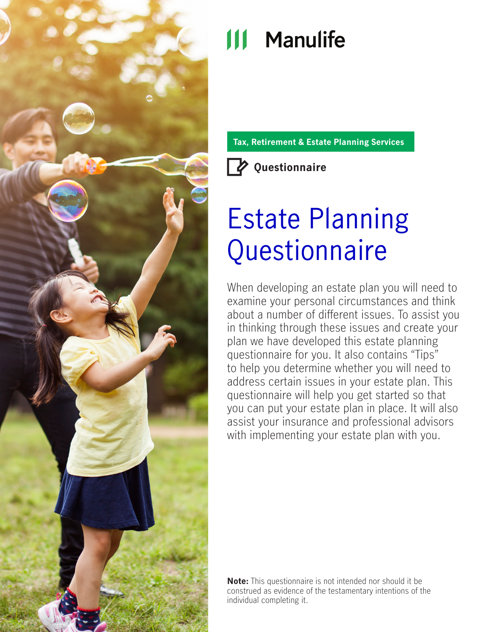

# **111 Manulife**

**Tax, Retirement & Estate Planning Services**



# Estate Planning **Questionnaire**

When developing an estate plan you will need to examine your personal circumstances and think about a number of different issues. To assist you in thinking through these issues and create your plan we have developed this estate planning questionnaire for you. It also contains "Tips" to help you determine whether you will need to address certain issues in your estate plan. This questionnaire will help you get started so that you can put your estate plan in place. It will also assist your insurance and professional advisors with implementing your estate plan with you.

**Note:** This questionnaire is not intended nor should it be construed as evidence of the testamentary intentions of the individual completing it.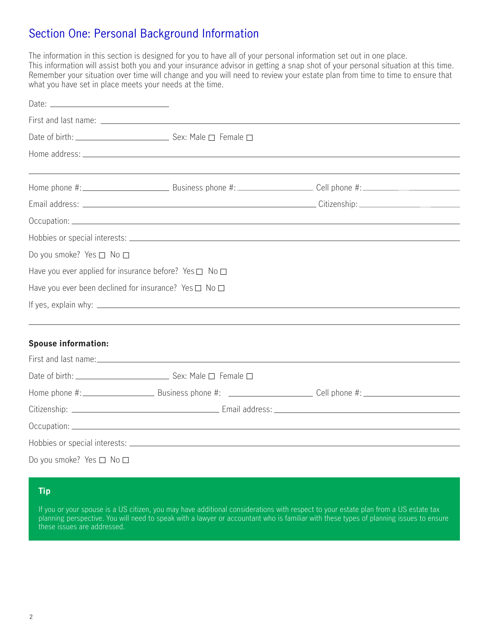## Section One: Personal Background Information

The information in this section is designed for you to have all of your personal information set out in one place. This information will assist both you and your insurance advisor in getting a snap shot of your personal situation at this time. Remember your situation over time will change and you will need to review your estate plan from time to time to ensure that what you have set in place meets your needs at the time.

| Date: $\frac{1}{2}$                |                                                                  |  |
|------------------------------------|------------------------------------------------------------------|--|
|                                    |                                                                  |  |
|                                    |                                                                  |  |
|                                    |                                                                  |  |
|                                    |                                                                  |  |
|                                    |                                                                  |  |
|                                    |                                                                  |  |
|                                    |                                                                  |  |
| Do you smoke? Yes $\Box$ No $\Box$ |                                                                  |  |
|                                    | Have you ever applied for insurance before? Yes $\Box$ No $\Box$ |  |
|                                    | Have you ever been declined for insurance? Yes $\Box$ No $\Box$  |  |
|                                    |                                                                  |  |
| <b>Spouse information:</b>         |                                                                  |  |
|                                    |                                                                  |  |
|                                    |                                                                  |  |
|                                    |                                                                  |  |
|                                    |                                                                  |  |
|                                    |                                                                  |  |

Hobbies or special interests: Do you smoke? Yes  $\Box$  No  $\Box$ 

#### **Tip**

If you or your spouse is a US citizen, you may have additional considerations with respect to your estate plan from a US estate tax planning perspective. You will need to speak with a lawyer or accountant who is familiar with these types of planning issues to ensure these issues are addressed.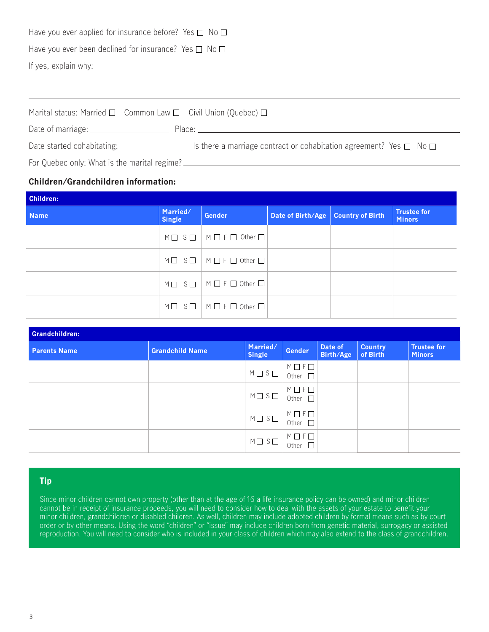Have you ever applied for insurance before? Yes  $\Box$  No  $\Box$ 

Have you ever been declined for insurance? Yes  $\Box$  No  $\Box$ 

If yes, explain why:

| Marital status: Married $\Box$ Common Law $\Box$ Civil Union (Quebec) $\Box$ |                                                                                                                                                                                                                                |  |  |  |
|------------------------------------------------------------------------------|--------------------------------------------------------------------------------------------------------------------------------------------------------------------------------------------------------------------------------|--|--|--|
|                                                                              | Place: The contract of the contract of the contract of the contract of the contract of the contract of the contract of the contract of the contract of the contract of the contract of the contract of the contract of the con |  |  |  |
|                                                                              | Is there a marriage contract or cohabitation agreement? Yes $\Box$ No $\Box$                                                                                                                                                   |  |  |  |
| For Quebec only: What is the marital regime?                                 |                                                                                                                                                                                                                                |  |  |  |

#### **Children/Grandchildren information:**

| <b>Children:</b> |                           |                                                                   |                                      |  |                                     |
|------------------|---------------------------|-------------------------------------------------------------------|--------------------------------------|--|-------------------------------------|
| <b>Name</b>      | Married/<br><b>Single</b> | <b>Gender</b>                                                     | Date of Birth/Age   Country of Birth |  | <b>Trustee for</b><br><b>Minors</b> |
|                  |                           | $M \square$ S $\square$   $M \square$ F $\square$ Other $\square$ |                                      |  |                                     |
|                  |                           | $M \Box$ $S \Box$ $M \Box$ $F \Box$ Other $\Box$                  |                                      |  |                                     |
|                  |                           | $M \Box$ $S \Box$ $M \Box$ F $\Box$ Other $\Box$                  |                                      |  |                                     |
|                  |                           | $M \Box$ $S \Box$ $M \Box$ F $\Box$ Other $\Box$                  |                                      |  |                                     |

| Grandchildren:      |                        |                           |                                            |                             |                            |                                     |
|---------------------|------------------------|---------------------------|--------------------------------------------|-----------------------------|----------------------------|-------------------------------------|
| <b>Parents Name</b> | <b>Grandchild Name</b> | Married/<br><b>Single</b> | <b>Gender</b>                              | Date of<br><b>Birth/Age</b> | <b>Country</b><br>of Birth | <b>Trustee for</b><br><b>Minors</b> |
|                     |                        | $M \square S \square$     | $M \Box F \Box$<br>Other<br>$\blacksquare$ |                             |                            |                                     |
|                     |                        | $M \square S \square$     | $M \Box F \Box$<br>П<br>Other              |                             |                            |                                     |
|                     |                        | $M \square$ $S \square$   | $M \Box F \Box$<br>Other                   |                             |                            |                                     |
|                     |                        | $M \square$ $S \square$   | $M \Box F \Box$<br>Other                   |                             |                            |                                     |

#### **Tip**

Since minor children cannot own property (other than at the age of 16 a life insurance policy can be owned) and minor children cannot be in receipt of insurance proceeds, you will need to consider how to deal with the assets of your estate to benefit your minor children, grandchildren or disabled children. As well, children may include adopted children by formal means such as by court order or by other means. Using the word "children" or "issue" may include children born from genetic material, surrogacy or assisted reproduction. You will need to consider who is included in your class of children which may also extend to the class of grandchildren.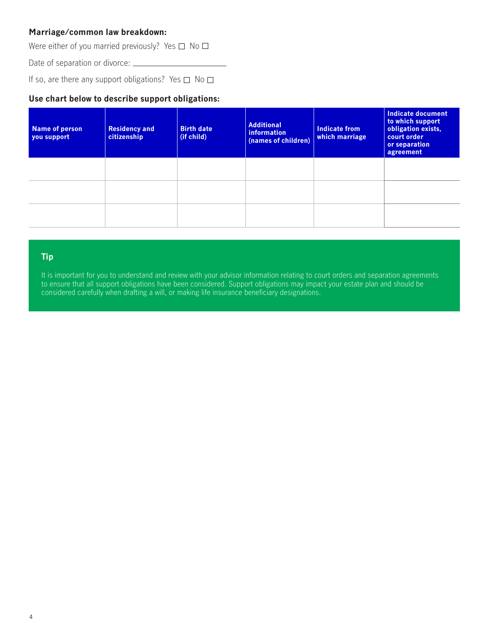#### **Marriage/common law breakdown:**

Were either of you married previously? Yes  $\square$  No  $\square$ 

Date of separation or divorce: \_\_\_\_\_\_\_\_

If so, are there any support obligations? Yes  $\Box$  No  $\Box$ 

#### **Use chart below to describe support obligations:**

| Name of person<br>you support | <b>Residency and</b><br>citizenship | <b>Birth date</b><br>(if child) | <b>Additional</b><br>information<br>(names of children) | Indicate from<br>which marriage | Indicate document<br>to which support<br>obligation exists,<br>court order<br>or separation<br>agreement |
|-------------------------------|-------------------------------------|---------------------------------|---------------------------------------------------------|---------------------------------|----------------------------------------------------------------------------------------------------------|
|                               |                                     |                                 |                                                         |                                 |                                                                                                          |
|                               |                                     |                                 |                                                         |                                 |                                                                                                          |
|                               |                                     |                                 |                                                         |                                 |                                                                                                          |

#### **Tip**

It is important for you to understand and review with your advisor information relating to court orders and separation agreements to ensure that all support obligations have been considered. Support obligations may impact your estate plan and should be considered carefully when drafting a will, or making life insurance beneficiary designations.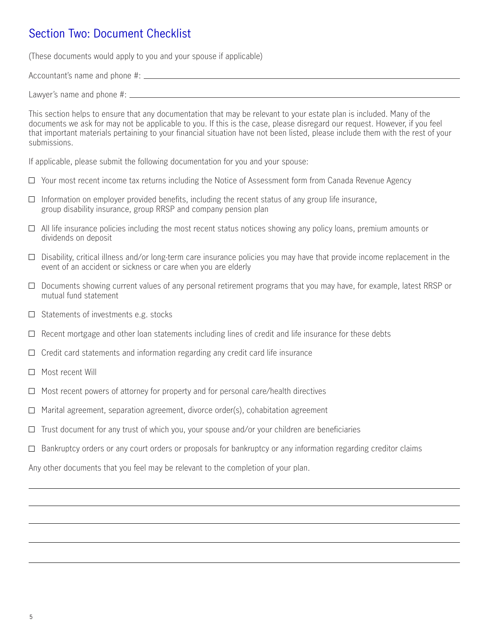## Section Two: Document Checklist

(These documents would apply to you and your spouse if applicable)

Accountant's name and phone #:

Lawyer's name and phone #:

This section helps to ensure that any documentation that may be relevant to your estate plan is included. Many of the documents we ask for may not be applicable to you. If this is the case, please disregard our request. However, if you feel that important materials pertaining to your financial situation have not been listed, please include them with the rest of your submissions.

If applicable, please submit the following documentation for you and your spouse:

- $\Box$  Your most recent income tax returns including the Notice of Assessment form from Canada Revenue Agency
- $\Box$  Information on employer provided benefits, including the recent status of any group life insurance, group disability insurance, group RRSP and company pension plan
- $\Box$  All life insurance policies including the most recent status notices showing any policy loans, premium amounts or dividends on deposit
- $\Box$  Disability, critical illness and/or long-term care insurance policies you may have that provide income replacement in the event of an accident or sickness or care when you are elderly
- $\Box$  Documents showing current values of any personal retirement programs that you may have, for example, latest RRSP or mutual fund statement
- $\Box$  Statements of investments e.g. stocks
- $\Box$  Recent mortgage and other loan statements including lines of credit and life insurance for these debts
- $\Box$  Credit card statements and information regarding any credit card life insurance
- $\Box$  Most recent Will
- $\Box$  Most recent powers of attorney for property and for personal care/health directives
- $\Box$  Marital agreement, separation agreement, divorce order(s), cohabitation agreement
- $\Box$  Trust document for any trust of which you, your spouse and/or your children are beneficiaries
- $\Box$  Bankruptcy orders or any court orders or proposals for bankruptcy or any information regarding creditor claims

Any other documents that you feel may be relevant to the completion of your plan.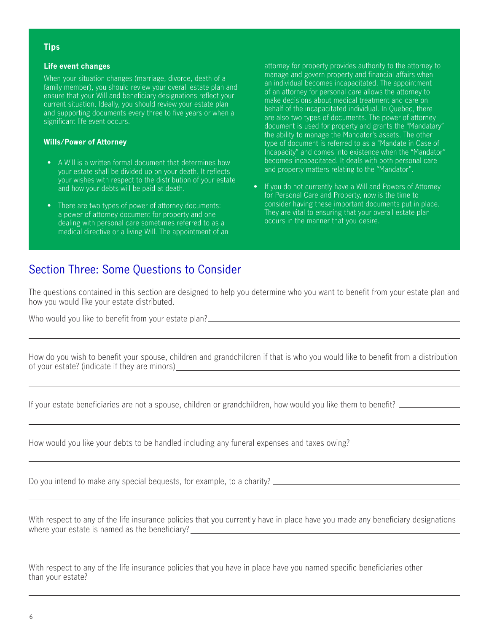#### **Tips**

#### **Life event changes**

When your situation changes (marriage, divorce, death of a family member), you should review your overall estate plan and ensure that your Will and beneficiary designations reflect your current situation. Ideally, you should review your estate plan and supporting documents every three to five years or when a significant life event occurs.

#### **Wills/Power of Attorney**

- A Will is a written formal document that determines how your estate shall be divided up on your death. It reflects your wishes with respect to the distribution of your estate and how your debts will be paid at death.
- There are two types of power of attorney documents: a power of attorney document for property and one dealing with personal care sometimes referred to as a medical directive or a living Will. The appointment of an

attorney for property provides authority to the attorney to manage and govern property and financial affairs when an individual becomes incapacitated. The appointment of an attorney for personal care allows the attorney to make decisions about medical treatment and care on behalf of the incapacitated individual. In Quebec, there are also two types of documents. The power of attorney document is used for property and grants the "Mandatary" the ability to manage the Mandator's assets. The other type of document is referred to as a "Mandate in Case of Incapacity" and comes into existence when the "Mandator" becomes incapacitated. It deals with both personal care and property matters relating to the "Mandator".

• If you do not currently have a Will and Powers of Attorney for Personal Care and Property, now is the time to consider having these important documents put in place. They are vital to ensuring that your overall estate plan occurs in the manner that you desire.

### Section Three: Some Questions to Consider

The questions contained in this section are designed to help you determine who you want to benefit from your estate plan and how you would like your estate distributed.

Who would you like to benefit from your estate plan?

|                                               | How do you wish to benefit your spouse, children and grandchildren if that is who you would like to benefit from a distribution |
|-----------------------------------------------|---------------------------------------------------------------------------------------------------------------------------------|
| of your estate? (indicate if they are minors) |                                                                                                                                 |

If your estate beneficiaries are not a spouse, children or grandchildren, how would you like them to benefit?

How would you like your debts to be handled including any funeral expenses and taxes owing? \_\_\_\_\_\_\_\_\_\_\_\_\_\_\_\_\_\_

Do you intend to make any special bequests, for example, to a charity?

With respect to any of the life insurance policies that you currently have in place have you made any beneficiary designations where your estate is named as the beneficiary?

With respect to any of the life insurance policies that you have in place have you named specific beneficiaries other than your estate?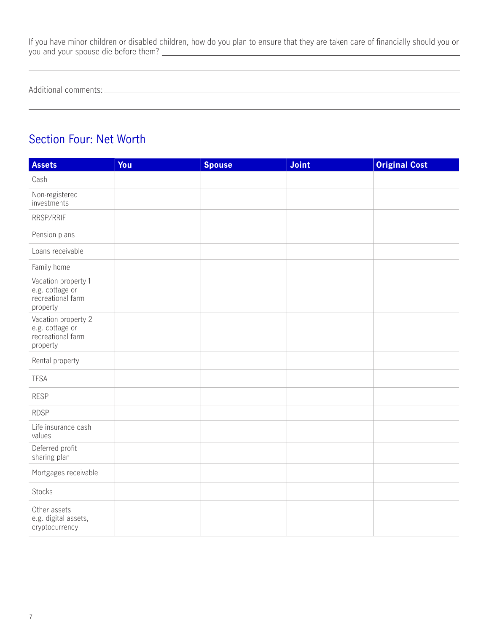If you have minor children or disabled children, how do you plan to ensure that they are taken care of financially should you or you and your spouse die before them?

Additional comments:

## Section Four: Net Worth

| <b>Assets</b>                                                           | You | <b>Spouse</b> | Joint | <b>Original Cost</b> |
|-------------------------------------------------------------------------|-----|---------------|-------|----------------------|
| Cash                                                                    |     |               |       |                      |
| Non-registered<br>investments                                           |     |               |       |                      |
| RRSP/RRIF                                                               |     |               |       |                      |
| Pension plans                                                           |     |               |       |                      |
| Loans receivable                                                        |     |               |       |                      |
| Family home                                                             |     |               |       |                      |
| Vacation property 1<br>e.g. cottage or<br>recreational farm<br>property |     |               |       |                      |
| Vacation property 2<br>e.g. cottage or<br>recreational farm<br>property |     |               |       |                      |
| Rental property                                                         |     |               |       |                      |
| <b>TFSA</b>                                                             |     |               |       |                      |
| <b>RESP</b>                                                             |     |               |       |                      |
| <b>RDSP</b>                                                             |     |               |       |                      |
| Life insurance cash<br>values                                           |     |               |       |                      |
| Deferred profit<br>sharing plan                                         |     |               |       |                      |
| Mortgages receivable                                                    |     |               |       |                      |
| Stocks                                                                  |     |               |       |                      |
| Other assets<br>e.g. digital assets,<br>cryptocurrency                  |     |               |       |                      |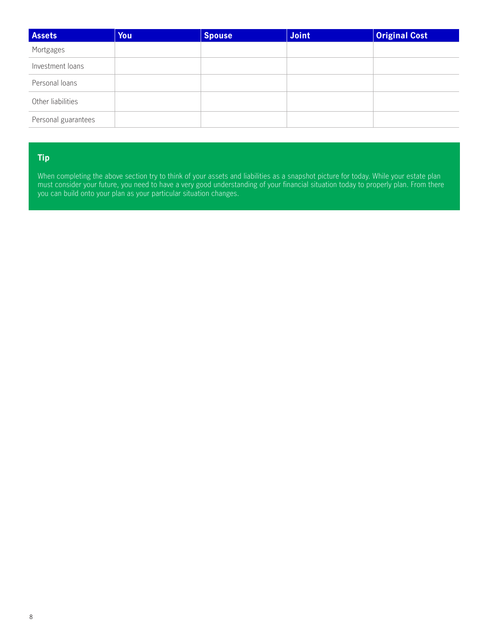| <b>Assets</b>       | You | <b>Spouse</b> | Joint | <b>Original Cost</b> |
|---------------------|-----|---------------|-------|----------------------|
| Mortgages           |     |               |       |                      |
| Investment loans    |     |               |       |                      |
| Personal loans      |     |               |       |                      |
| Other liabilities   |     |               |       |                      |
| Personal guarantees |     |               |       |                      |

#### **Tip**

When completing the above section try to think of your assets and liabilities as a snapshot picture for today. While your estate plan must consider your future, you need to have a very good understanding of your financial situation today to properly plan. From there you can build onto your plan as your particular situation changes.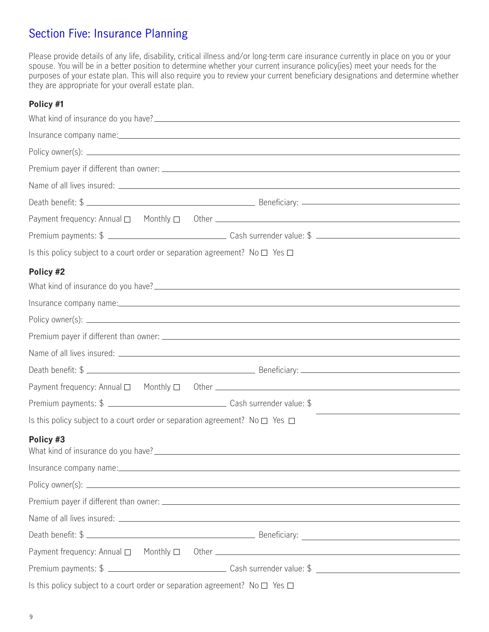## Section Five: Insurance Planning

Please provide details of any life, disability, critical illness and/or long-term care insurance currently in place on you or your spouse. You will be in a better position to determine whether your current insurance policy(ies) meet your needs for the purposes of your estate plan. This will also require you to review your current beneficiary designations and determine whether they are appropriate for your overall estate plan.

#### **Policy #1**

| Death benefit: \$                                                                                                                                    |
|------------------------------------------------------------------------------------------------------------------------------------------------------|
|                                                                                                                                                      |
|                                                                                                                                                      |
| Is this policy subject to a court order or separation agreement? No $\square$ Yes $\square$                                                          |
| Policy #2                                                                                                                                            |
|                                                                                                                                                      |
|                                                                                                                                                      |
|                                                                                                                                                      |
|                                                                                                                                                      |
|                                                                                                                                                      |
| Death benefit: \$                                                                                                                                    |
|                                                                                                                                                      |
|                                                                                                                                                      |
| <u> 1989 - Andrea Stadt Britain, amerikansk politiker (</u><br>Is this policy subject to a court order or separation agreement? No $\Box$ Yes $\Box$ |
| Policy #3                                                                                                                                            |
| Insurance company name:                                                                                                                              |
|                                                                                                                                                      |
|                                                                                                                                                      |
|                                                                                                                                                      |
| Death benefit: \$                                                                                                                                    |
|                                                                                                                                                      |
|                                                                                                                                                      |
| Is this policy subject to a court order or separation agreement? No $\square$ Yes $\square$                                                          |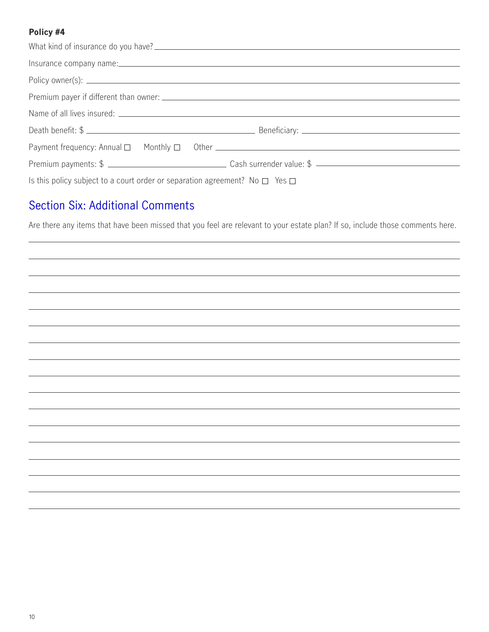#### **Policy #4**

|                                                                                             | Insurance company name: https://www.analysis.com/and/analysis/analysis/analysis/analysis/analysis/analysis/analysis/analysis/analysis/analysis/analysis/analysis/analysis/analysis/analysis/analysis/analysis/analysis/analysi |
|---------------------------------------------------------------------------------------------|--------------------------------------------------------------------------------------------------------------------------------------------------------------------------------------------------------------------------------|
|                                                                                             |                                                                                                                                                                                                                                |
|                                                                                             |                                                                                                                                                                                                                                |
|                                                                                             |                                                                                                                                                                                                                                |
|                                                                                             | Death benefit: \$                                                                                                                                                                                                              |
| Payment frequency: Annual □ Monthly □ Other <u>___________________________________</u>      |                                                                                                                                                                                                                                |
|                                                                                             |                                                                                                                                                                                                                                |
| Is this policy subject to a court order or separation agreement? No $\square$ Yes $\square$ |                                                                                                                                                                                                                                |

## Section Six: Additional Comments

Are there any items that have been missed that you feel are relevant to your estate plan? If so, include those comments here.